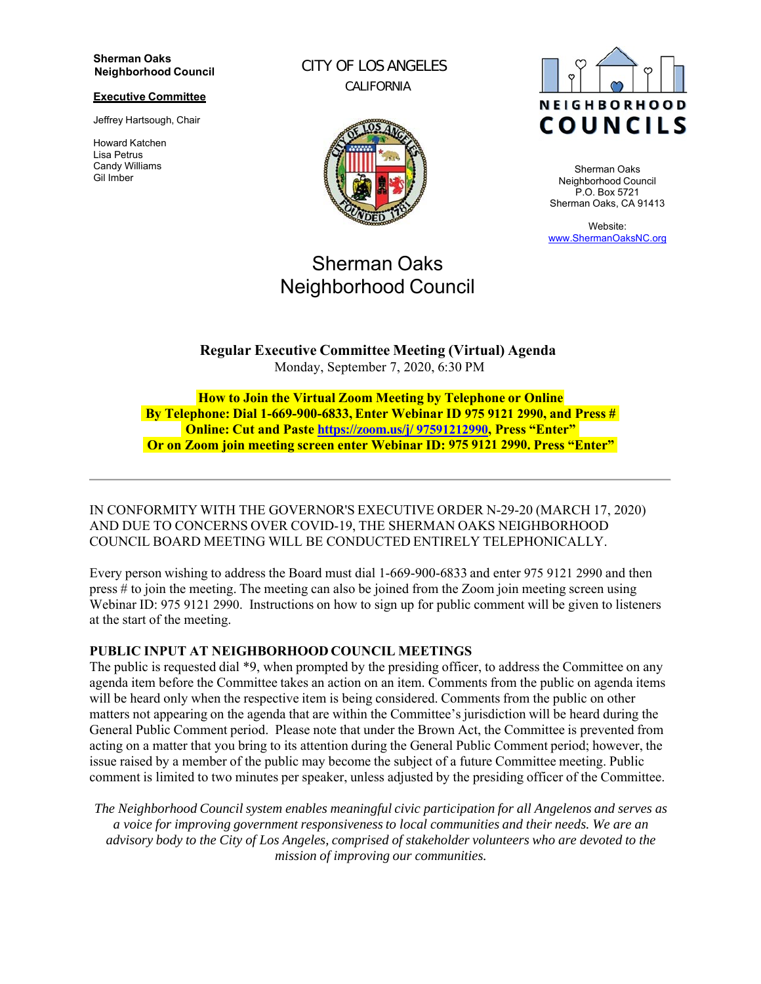#### **Sherman Oaks Neighborhood Council**

#### **Executive Committee**

Jeffrey Hartsough, Chair

Howard Katchen Lisa Petrus Candy Williams Gil Imber

CITY OF LOS ANGELES CALIFORNIA



# Sherman Oaks Neighborhood Council



Sherman Oaks Neighborhood Council P.O. Box 5721 Sherman Oaks, CA 91413

Website: www.ShermanOaksNC.org

**Regular Executive Committee Meeting (Virtual) Agenda** Monday, September 7, 2020, 6:30 PM

**How to Join the Virtual Zoom Meeting by Telephone or Online By Telephone: Dial 1-669-900-6833, Enter Webinar ID 975 9121 2990, and Press # Online: Cut and Paste https://zoom.us/j/ 97591212990, Press "Enter" Or on Zoom join meeting screen enter Webinar ID: 975 9121 2990. Press "Enter"**

IN CONFORMITY WITH THE GOVERNOR'S EXECUTIVE ORDER N-29-20 (MARCH 17, 2020) AND DUE TO CONCERNS OVER COVID-19, THE SHERMAN OAKS NEIGHBORHOOD COUNCIL BOARD MEETING WILL BE CONDUCTED ENTIRELY TELEPHONICALLY.

Every person wishing to address the Board must dial 1-669-900-6833 and enter 975 9121 2990 and then press # to join the meeting. The meeting can also be joined from the Zoom join meeting screen using Webinar ID: 975 9121 2990. Instructions on how to sign up for public comment will be given to listeners at the start of the meeting.

## **PUBLIC INPUT AT NEIGHBORHOOD COUNCIL MEETINGS**

The public is requested dial \*9, when prompted by the presiding officer, to address the Committee on any agenda item before the Committee takes an action on an item. Comments from the public on agenda items will be heard only when the respective item is being considered. Comments from the public on other matters not appearing on the agenda that are within the Committee's jurisdiction will be heard during the General Public Comment period. Please note that under the Brown Act, the Committee is prevented from acting on a matter that you bring to its attention during the General Public Comment period; however, the issue raised by a member of the public may become the subject of a future Committee meeting. Public comment is limited to two minutes per speaker, unless adjusted by the presiding officer of the Committee.

*The Neighborhood Council system enables meaningful civic participation for all Angelenos and serves as a voice for improving government responsiveness to local communities and their needs. We are an advisory body to the City of Los Angeles, comprised of stakeholder volunteers who are devoted to the mission of improving our communities.*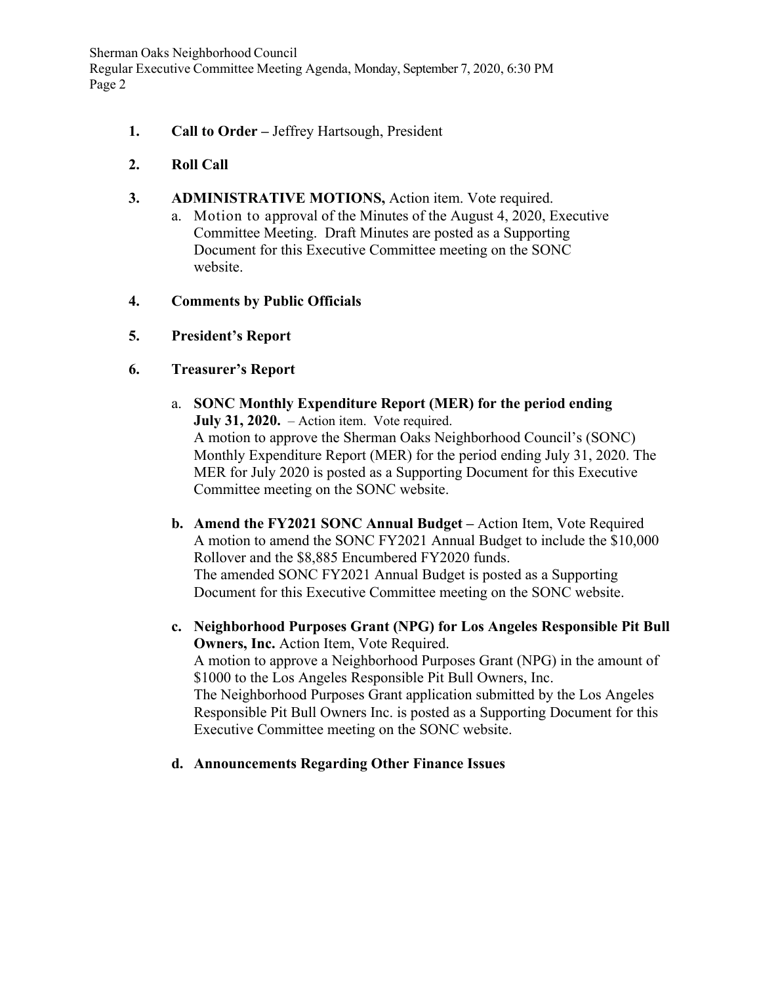Sherman Oaks Neighborhood Council Regular Executive Committee Meeting Agenda, Monday, September 7, 2020, 6:30 PM Page 2

- **1. Call to Order** Jeffrey Hartsough, President
- **2. Roll Call**
- **3. ADMINISTRATIVE MOTIONS,** Action item. Vote required.
	- a. Motion to approval of the Minutes of the August 4, 2020, Executive Committee Meeting. Draft Minutes are posted as a Supporting Document for this Executive Committee meeting on the SONC website.
- **4. Comments by Public Officials**
- **5. President's Report**
- **6. Treasurer's Report** 
	- a. **SONC Monthly Expenditure Report (MER) for the period ending July 31, 2020.** – Action item. Vote required. A motion to approve the Sherman Oaks Neighborhood Council's (SONC) Monthly Expenditure Report (MER) for the period ending July 31, 2020. The MER for July 2020 is posted as a Supporting Document for this Executive Committee meeting on the SONC website.
	- **b. Amend the FY2021 SONC Annual Budget** Action Item, Vote Required A motion to amend the SONC FY2021 Annual Budget to include the \$10,000 Rollover and the \$8,885 Encumbered FY2020 funds. The amended SONC FY2021 Annual Budget is posted as a Supporting Document for this Executive Committee meeting on the SONC website.
	- **c. Neighborhood Purposes Grant (NPG) for Los Angeles Responsible Pit Bull Owners, Inc.** Action Item, Vote Required. A motion to approve a Neighborhood Purposes Grant (NPG) in the amount of \$1000 to the Los Angeles Responsible Pit Bull Owners, Inc. The Neighborhood Purposes Grant application submitted by the Los Angeles Responsible Pit Bull Owners Inc. is posted as a Supporting Document for this Executive Committee meeting on the SONC website.
	- **d. Announcements Regarding Other Finance Issues**